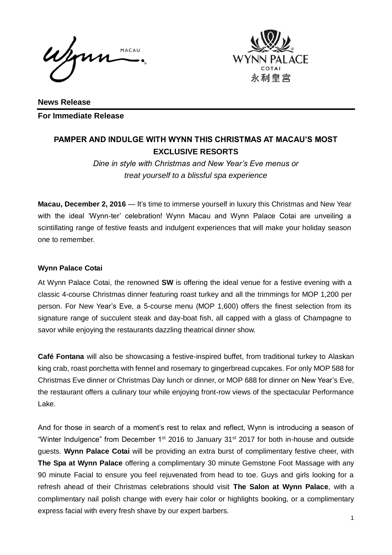Jon MACAU



**News Release For Immediate Release** 

# **PAMPER AND INDULGE WITH WYNN THIS CHRISTMAS AT MACAU'S MOST EXCLUSIVE RESORTS**

*Dine in style with Christmas and New Year's Eve menus or treat yourself to a blissful spa experience*

**Macau, December 2, 2016** — It's time to immerse yourself in luxury this Christmas and New Year with the ideal 'Wynn-ter' celebration! Wynn Macau and Wynn Palace Cotai are unveiling a scintillating range of festive feasts and indulgent experiences that will make your holiday season one to remember.

## **Wynn Palace Cotai**

At Wynn Palace Cotai, the renowned **SW** is offering the ideal venue for a festive evening with a classic 4-course Christmas dinner featuring roast turkey and all the trimmings for MOP 1,200 per person. For New Year's Eve, a 5-course menu (MOP 1,600) offers the finest selection from its signature range of succulent steak and day-boat fish, all capped with a glass of Champagne to savor while enjoying the restaurants dazzling theatrical dinner show.

**Café Fontana** will also be showcasing a festive-inspired buffet, from traditional turkey to Alaskan king crab, roast porchetta with fennel and rosemary to gingerbread cupcakes. For only MOP 588 for Christmas Eve dinner or Christmas Day lunch or dinner, or MOP 688 for dinner on New Year's Eve, the restaurant offers a culinary tour while enjoying front-row views of the spectacular Performance Lake.

And for those in search of a moment's rest to relax and reflect, Wynn is introducing a season of "Winter Indulgence" from December 1<sup>st</sup> 2016 to January 31<sup>st</sup> 2017 for both in-house and outside guests. **Wynn Palace Cotai** will be providing an extra burst of complimentary festive cheer, with **The Spa at Wynn Palace** offering a complimentary 30 minute Gemstone Foot Massage with any 90 minute Facial to ensure you feel rejuvenated from head to toe. Guys and girls looking for a refresh ahead of their Christmas celebrations should visit **The Salon at Wynn Palace**, with a complimentary nail polish change with every hair color or highlights booking, or a complimentary express facial with every fresh shave by our expert barbers.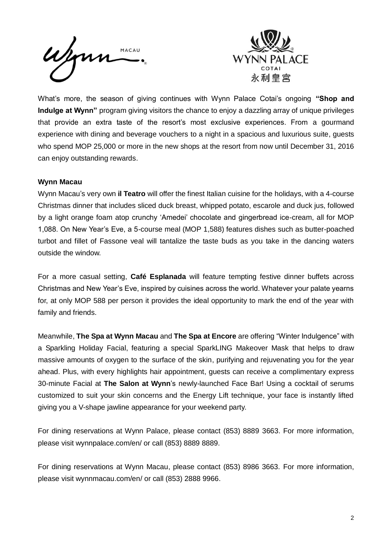



What's more, the season of giving continues with Wynn Palace Cotai's ongoing **"Shop and Indulge at Wynn"** program giving visitors the chance to enjoy a dazzling array of unique privileges that provide an extra taste of the resort's most exclusive experiences. From a gourmand experience with dining and beverage vouchers to a night in a spacious and luxurious suite, guests who spend MOP 25,000 or more in the new shops at the resort from now until December 31, 2016 can enjoy outstanding rewards.

### **Wynn Macau**

Wynn Macau's very own **il Teatro** will offer the finest Italian cuisine for the holidays, with a 4-course Christmas dinner that includes sliced duck breast, whipped potato, escarole and duck jus, followed by a light orange foam atop crunchy 'Amedei' chocolate and gingerbread ice-cream, all for MOP 1,088. On New Year's Eve, a 5-course meal (MOP 1,588) features dishes such as butter-poached turbot and fillet of Fassone veal will tantalize the taste buds as you take in the dancing waters outside the window.

For a more casual setting, **Café Esplanada** will feature tempting festive dinner buffets across Christmas and New Year's Eve, inspired by cuisines across the world. Whatever your palate yearns for, at only MOP 588 per person it provides the ideal opportunity to mark the end of the year with family and friends.

Meanwhile, **The Spa at Wynn Macau** and **The Spa at Encore** are offering "Winter Indulgence" with a Sparkling Holiday Facial, featuring a special SparkLING Makeover Mask that helps to draw massive amounts of oxygen to the surface of the skin, purifying and rejuvenating you for the year ahead. Plus, with every highlights hair appointment, guests can receive a complimentary express 30-minute Facial at **The Salon at Wynn**'s newly-launched Face Bar! Using a cocktail of serums customized to suit your skin concerns and the Energy Lift technique, your face is instantly lifted giving you a V-shape jawline appearance for your weekend party.

For dining reservations at Wynn Palace, please contact (853) 8889 3663. For more information, please visit wynnpalace.com/en/ or call (853) 8889 8889.

For dining reservations at Wynn Macau, please contact (853) 8986 3663. For more information, please visit wynnmacau.com/en/ or call (853) 2888 9966.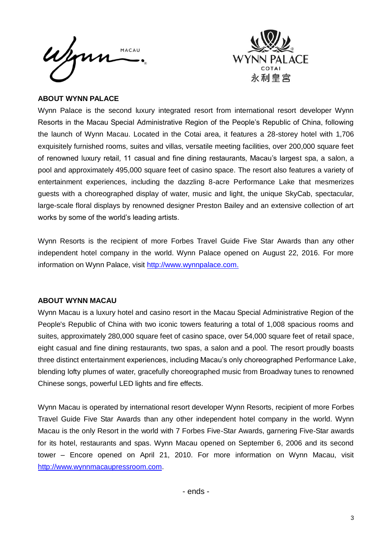



#### **ABOUT WYNN PALACE**

Wynn Palace is the second luxury integrated resort from international resort developer Wynn Resorts in the Macau Special Administrative Region of the People's Republic of China, following the launch of Wynn Macau. Located in the Cotai area, it features a 28-storey hotel with 1,706 exquisitely furnished rooms, suites and villas, versatile meeting facilities, over 200,000 square feet of renowned luxury retail, 11 casual and fine dining restaurants, Macau's largest spa, a salon, a pool and approximately 495,000 square feet of casino space. The resort also features a variety of entertainment experiences, including the dazzling 8-acre Performance Lake that mesmerizes guests with a choreographed display of water, music and light, the unique SkyCab, spectacular, large-scale floral displays by renowned designer Preston Bailey and an extensive collection of art works by some of the world's leading artists.

Wynn Resorts is the recipient of more Forbes Travel Guide Five Star Awards than any other independent hotel company in the world. Wynn Palace opened on August 22, 2016. For more information on Wynn Palace, visit [http://www.wynnpalace.com.](http://www.wynnpalace.com/)

#### **ABOUT WYNN MACAU**

Wynn Macau is a luxury hotel and casino resort in the Macau Special Administrative Region of the People's Republic of China with two iconic towers featuring a total of 1,008 spacious rooms and suites, approximately 280,000 square feet of casino space, over 54,000 square feet of retail space, eight casual and fine dining restaurants, two spas, a salon and a pool. The resort proudly boasts three distinct entertainment experiences, including Macau's only choreographed Performance Lake, blending lofty plumes of water, gracefully choreographed music from Broadway tunes to renowned Chinese songs, powerful LED lights and fire effects.

Wynn Macau is operated by international resort developer Wynn Resorts, recipient of more Forbes Travel Guide Five Star Awards than any other independent hotel company in the world. Wynn Macau is the only Resort in the world with 7 Forbes Five-Star Awards, garnering Five-Star awards for its hotel, restaurants and spas. Wynn Macau opened on September 6, 2006 and its second tower – Encore opened on April 21, 2010. For more information on Wynn Macau, visit [http://www.wynnmacaupressroom.com.](http://www.wynnmacaupressroom.com/)

- ends -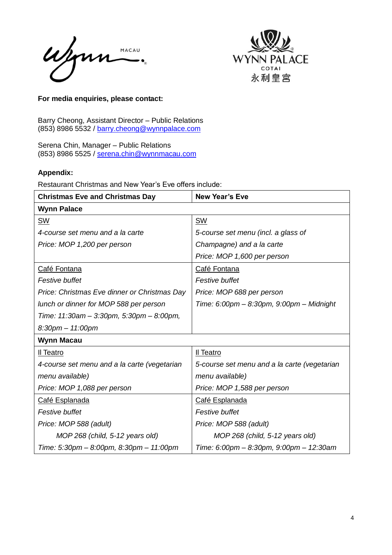Wynn MACAU  $\bullet$ 



#### **For media enquiries, please contact:**

Barry Cheong, Assistant Director – Public Relations (853) 8986 5532 / [barry.cheong@wynnpalace.com](mailto:barry.cheong@wynnpalace.com)

Serena Chin, Manager – Public Relations (853) 8986 5525 / [serena.chin@wynnmacau.com](mailto:serena.chin@wynnmacau.com)

## **Appendix:**

Restaurant Christmas and New Year's Eve offers include:

| <b>Christmas Eve and Christmas Day</b>       | <b>New Year's Eve</b>                        |
|----------------------------------------------|----------------------------------------------|
| <b>Wynn Palace</b>                           |                                              |
| <b>SW</b>                                    | <b>SW</b>                                    |
| 4-course set menu and a la carte             | 5-course set menu (incl. a glass of          |
| Price: MOP 1,200 per person                  | Champagne) and a la carte                    |
|                                              | Price: MOP 1,600 per person                  |
| Café Fontana                                 | Café Fontana                                 |
| Festive buffet                               | <b>Festive buffet</b>                        |
| Price: Christmas Eve dinner or Christmas Day | Price: MOP 688 per person                    |
| lunch or dinner for MOP 588 per person       | Time: 6:00pm - 8:30pm, 9:00pm - Midnight     |
| Time: 11:30am - 3:30pm, 5:30pm - 8:00pm,     |                                              |
| $8:30$ pm $-11:00$ pm                        |                                              |
| <b>Wynn Macau</b>                            |                                              |
| Il Teatro                                    | Il Teatro                                    |
| 4-course set menu and a la carte (vegetarian | 5-course set menu and a la carte (vegetarian |
| menu available)                              | menu available)                              |
| Price: MOP 1,088 per person                  | Price: MOP 1,588 per person                  |
| Café Esplanada                               | Café Esplanada                               |
| Festive buffet                               | <b>Festive buffet</b>                        |
| Price: MOP 588 (adult)                       | Price: MOP 588 (adult)                       |
| MOP 268 (child, 5-12 years old)              | MOP 268 (child, 5-12 years old)              |
| Time: 5:30pm - 8:00pm, 8:30pm - 11:00pm      | Time: 6:00pm - 8:30pm, 9:00pm - 12:30am      |